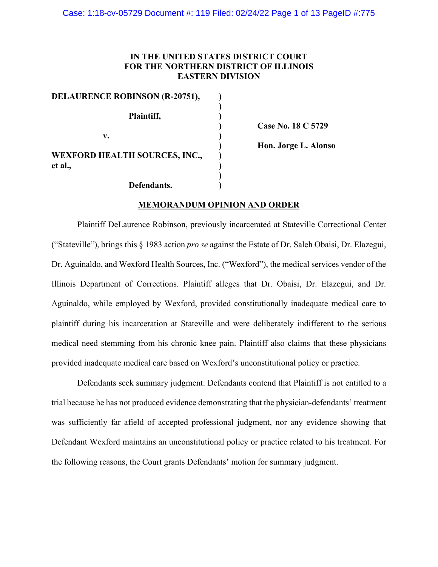## **IN THE UNITED STATES DISTRICT COURT FOR THE NORTHERN DISTRICT OF ILLINOIS EASTERN DIVISION**

| <b>DELAURENCE ROBINSON (R-20751),</b>           |  |
|-------------------------------------------------|--|
| Plaintiff,                                      |  |
| v.                                              |  |
| <b>WEXFORD HEALTH SOURCES, INC.,</b><br>et al., |  |
| Defendants.                                     |  |

**) Case No. 18 C 5729**

**) Hon. Jorge L. Alonso**

# **MEMORANDUM OPINION AND ORDER**

Plaintiff DeLaurence Robinson, previously incarcerated at Stateville Correctional Center ("Stateville"), brings this § 1983 action *pro se* against the Estate of Dr. Saleh Obaisi, Dr. Elazegui, Dr. Aguinaldo, and Wexford Health Sources, Inc. ("Wexford"), the medical services vendor of the Illinois Department of Corrections. Plaintiff alleges that Dr. Obaisi, Dr. Elazegui, and Dr. Aguinaldo, while employed by Wexford, provided constitutionally inadequate medical care to plaintiff during his incarceration at Stateville and were deliberately indifferent to the serious medical need stemming from his chronic knee pain. Plaintiff also claims that these physicians provided inadequate medical care based on Wexford's unconstitutional policy or practice.

Defendants seek summary judgment. Defendants contend that Plaintiff is not entitled to a trial because he has not produced evidence demonstrating that the physician-defendants' treatment was sufficiently far afield of accepted professional judgment, nor any evidence showing that Defendant Wexford maintains an unconstitutional policy or practice related to his treatment. For the following reasons, the Court grants Defendants' motion for summary judgment.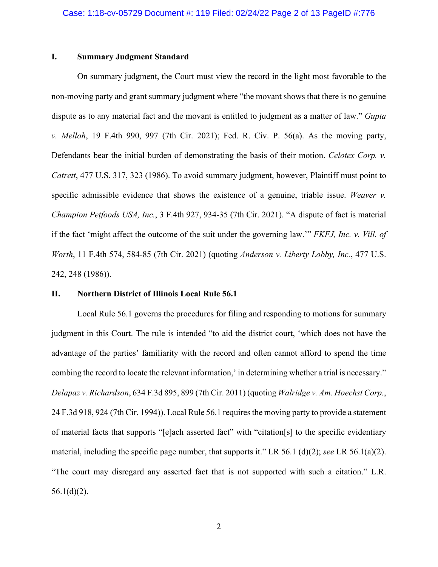#### **I. Summary Judgment Standard**

On summary judgment, the Court must view the record in the light most favorable to the non-moving party and grant summary judgment where "the movant shows that there is no genuine dispute as to any material fact and the movant is entitled to judgment as a matter of law." *Gupta v. Melloh*, 19 F.4th 990, 997 (7th Cir. 2021); Fed. R. Civ. P. 56(a). As the moving party, Defendants bear the initial burden of demonstrating the basis of their motion. *Celotex Corp. v. Catrett*, 477 U.S. 317, 323 (1986). To avoid summary judgment, however, Plaintiff must point to specific admissible evidence that shows the existence of a genuine, triable issue. *Weaver v. Champion Petfoods USA, Inc.*, 3 F.4th 927, 934-35 (7th Cir. 2021). "A dispute of fact is material if the fact 'might affect the outcome of the suit under the governing law.'" *FKFJ, Inc. v. Vill. of Worth*, 11 F.4th 574, 584-85 (7th Cir. 2021) (quoting *Anderson v. Liberty Lobby, Inc.*, 477 U.S. 242, 248 (1986)).

#### **II. Northern District of Illinois Local Rule 56.1**

Local Rule 56.1 governs the procedures for filing and responding to motions for summary judgment in this Court. The rule is intended "to aid the district court, 'which does not have the advantage of the parties' familiarity with the record and often cannot afford to spend the time combing the record to locate the relevant information,' in determining whether a trial is necessary." *Delapaz v. Richardson*, 634 F.3d 895, 899 (7th Cir. 2011) (quoting *Walridge v. Am. Hoechst Corp.*, 24 F.3d 918, 924 (7th Cir. 1994)). Local Rule 56.1 requires the moving party to provide a statement of material facts that supports "[e]ach asserted fact" with "citation[s] to the specific evidentiary material, including the specific page number, that supports it." LR 56.1 (d)(2); *see* LR 56.1(a)(2). "The court may disregard any asserted fact that is not supported with such a citation." L.R.  $56.1(d)(2)$ .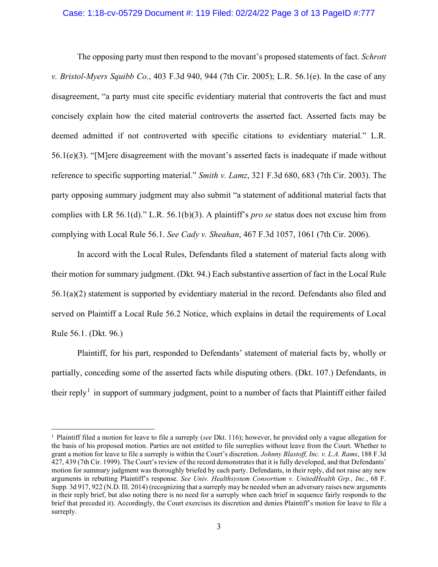### Case: 1:18-cv-05729 Document #: 119 Filed: 02/24/22 Page 3 of 13 PageID #:777

The opposing party must then respond to the movant's proposed statements of fact. *Schrott v. Bristol-Myers Squibb Co.*, 403 F.3d 940, 944 (7th Cir. 2005); L.R. 56.1(e). In the case of any disagreement, "a party must cite specific evidentiary material that controverts the fact and must concisely explain how the cited material controverts the asserted fact. Asserted facts may be deemed admitted if not controverted with specific citations to evidentiary material." L.R.  $56.1(e)(3)$ . "[M]ere disagreement with the movant's asserted facts is inadequate if made without reference to specific supporting material." *Smith v. Lamz*, 321 F.3d 680, 683 (7th Cir. 2003). The party opposing summary judgment may also submit "a statement of additional material facts that complies with LR 56.1(d)." L.R. 56.1(b)(3). A plaintiff's *pro se* status does not excuse him from complying with Local Rule 56.1. *See Cady v. Sheahan*, 467 F.3d 1057, 1061 (7th Cir. 2006).

In accord with the Local Rules, Defendants filed a statement of material facts along with their motion for summary judgment. (Dkt. 94.) Each substantive assertion of fact in the Local Rule 56.1(a)(2) statement is supported by evidentiary material in the record. Defendants also filed and served on Plaintiff a Local Rule 56.2 Notice, which explains in detail the requirements of Local Rule 56.1. (Dkt. 96.)

Plaintiff, for his part, responded to Defendants' statement of material facts by, wholly or partially, conceding some of the asserted facts while disputing others. (Dkt. 107.) Defendants, in their reply<sup>[1](#page-2-0)</sup> in support of summary judgment, point to a number of facts that Plaintiff either failed

<span id="page-2-0"></span><sup>1</sup> Plaintiff filed a motion for leave to file a surreply (*see* Dkt. 116); however, he provided only a vague allegation for the basis of his proposed motion. Parties are not entitled to file surreplies without leave from the Court. Whether to grant a motion for leave to file a surreply is within the Court's discretion. *Johnny Blastoff, Inc. v. L.A. Rams*, 188 F.3d 427, 439 (7th Cir. 1999). The Court's review of the record demonstrates that it is fully developed, and that Defendants' motion for summary judgment was thoroughly briefed by each party. Defendants, in their reply, did not raise any new arguments in rebutting Plaintiff's response. *See Univ. Healthsystem Consortium v. UnitedHealth Grp., Inc.*, 68 F. Supp. 3d 917, 922 (N.D. Ill. 2014) (recognizing that a surreply may be needed when an adversary raises new arguments in their reply brief, but also noting there is no need for a surreply when each brief in sequence fairly responds to the brief that preceded it). Accordingly, the Court exercises its discretion and denies Plaintiff's motion for leave to file a surreply.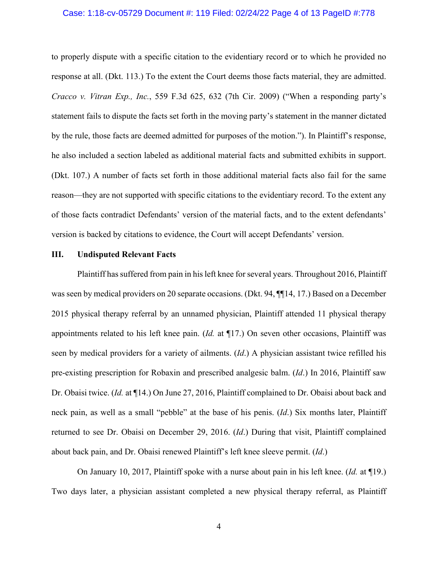#### Case: 1:18-cv-05729 Document #: 119 Filed: 02/24/22 Page 4 of 13 PageID #:778

to properly dispute with a specific citation to the evidentiary record or to which he provided no response at all. (Dkt. 113.) To the extent the Court deems those facts material, they are admitted. *Cracco v. Vitran Exp., Inc.*, 559 F.3d 625, 632 (7th Cir. 2009) ("When a responding party's statement fails to dispute the facts set forth in the moving party's statement in the manner dictated by the rule, those facts are deemed admitted for purposes of the motion."). In Plaintiff's response, he also included a section labeled as additional material facts and submitted exhibits in support. (Dkt. 107.) A number of facts set forth in those additional material facts also fail for the same reason—they are not supported with specific citations to the evidentiary record. To the extent any of those facts contradict Defendants' version of the material facts, and to the extent defendants' version is backed by citations to evidence, the Court will accept Defendants' version.

#### **III. Undisputed Relevant Facts**

Plaintiff has suffered from pain in his left knee for several years. Throughout 2016, Plaintiff was seen by medical providers on 20 separate occasions. (Dkt. 94, ¶¶14, 17.) Based on a December 2015 physical therapy referral by an unnamed physician, Plaintiff attended 11 physical therapy appointments related to his left knee pain. (*Id.* at ¶17.) On seven other occasions, Plaintiff was seen by medical providers for a variety of ailments. (*Id*.) A physician assistant twice refilled his pre-existing prescription for Robaxin and prescribed analgesic balm. (*Id*.) In 2016, Plaintiff saw Dr. Obaisi twice. (*Id.* at ¶14.) On June 27, 2016, Plaintiff complained to Dr. Obaisi about back and neck pain, as well as a small "pebble" at the base of his penis. (*Id*.) Six months later, Plaintiff returned to see Dr. Obaisi on December 29, 2016. (*Id*.) During that visit, Plaintiff complained about back pain, and Dr. Obaisi renewed Plaintiff's left knee sleeve permit. (*Id*.)

On January 10, 2017, Plaintiff spoke with a nurse about pain in his left knee. (*Id.* at ¶19.) Two days later, a physician assistant completed a new physical therapy referral, as Plaintiff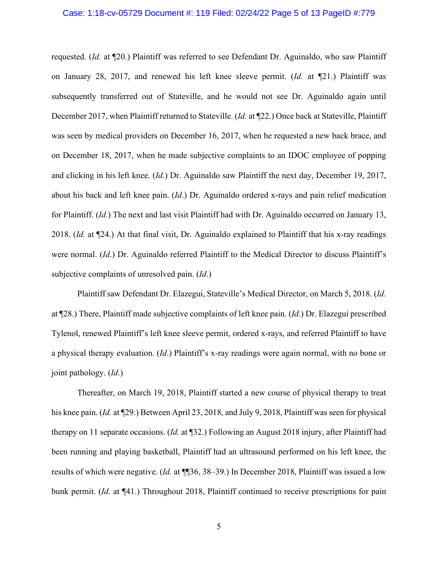#### Case: 1:18-cv-05729 Document #: 119 Filed: 02/24/22 Page 5 of 13 PageID #:779

requested. (*Id.* at ¶20.) Plaintiff was referred to see Defendant Dr. Aguinaldo, who saw Plaintiff on January 28, 2017, and renewed his left knee sleeve permit. (*Id.* at ¶21.) Plaintiff was subsequently transferred out of Stateville, and he would not see Dr. Aguinaldo again until December 2017, when Plaintiff returned to Stateville. (*Id.* at ¶22.) Once back at Stateville, Plaintiff was seen by medical providers on December 16, 2017, when he requested a new back brace, and on December 18, 2017, when he made subjective complaints to an IDOC employee of popping and clicking in his left knee. (*Id*.) Dr. Aguinaldo saw Plaintiff the next day, December 19, 2017, about his back and left knee pain. (*Id*.) Dr. Aguinaldo ordered x-rays and pain relief medication for Plaintiff. (*Id*.) The next and last visit Plaintiff had with Dr. Aguinaldo occurred on January 13, 2018. (*Id.* at ¶24.) At that final visit, Dr. Aguinaldo explained to Plaintiff that his x-ray readings were normal. (*Id*.) Dr. Aguinaldo referred Plaintiff to the Medical Director to discuss Plaintiff's subjective complaints of unresolved pain. (*Id*.)

Plaintiff saw Defendant Dr. Elazegui, Stateville's Medical Director, on March 5, 2018. (*Id.* at ¶28.) There, Plaintiff made subjective complaints of left knee pain. (*Id*.) Dr. Elazegui prescribed Tylenol, renewed Plaintiff's left knee sleeve permit, ordered x-rays, and referred Plaintiff to have a physical therapy evaluation. (*Id*.) Plaintiff's x-ray readings were again normal, with no bone or joint pathology. (*Id*.)

Thereafter, on March 19, 2018, Plaintiff started a new course of physical therapy to treat his knee pain. (*Id.* at ¶29.) Between April 23, 2018, and July 9, 2018, Plaintiff was seen for physical therapy on 11 separate occasions. (*Id.* at ¶32.) Following an August 2018 injury, after Plaintiff had been running and playing basketball, Plaintiff had an ultrasound performed on his left knee, the results of which were negative. (*Id.* at ¶¶36, 38–39.) In December 2018, Plaintiff was issued a low bunk permit. (*Id.* at ¶41.) Throughout 2018, Plaintiff continued to receive prescriptions for pain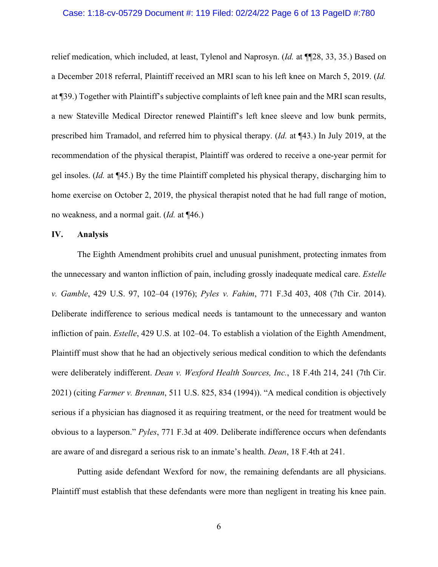#### Case: 1:18-cv-05729 Document #: 119 Filed: 02/24/22 Page 6 of 13 PageID #:780

relief medication, which included, at least, Tylenol and Naprosyn. (*Id.* at ¶¶28, 33, 35.) Based on a December 2018 referral, Plaintiff received an MRI scan to his left knee on March 5, 2019. (*Id.* at ¶39.) Together with Plaintiff's subjective complaints of left knee pain and the MRI scan results, a new Stateville Medical Director renewed Plaintiff's left knee sleeve and low bunk permits, prescribed him Tramadol, and referred him to physical therapy. (*Id.* at ¶43.) In July 2019, at the recommendation of the physical therapist, Plaintiff was ordered to receive a one-year permit for gel insoles. (*Id.* at ¶45.) By the time Plaintiff completed his physical therapy, discharging him to home exercise on October 2, 2019, the physical therapist noted that he had full range of motion, no weakness, and a normal gait. (*Id.* at ¶46.)

#### **IV. Analysis**

The Eighth Amendment prohibits cruel and unusual punishment, protecting inmates from the unnecessary and wanton infliction of pain, including grossly inadequate medical care. *Estelle v. Gamble*, 429 U.S. 97, 102–04 (1976); *Pyles v. Fahim*, 771 F.3d 403, 408 (7th Cir. 2014). Deliberate indifference to serious medical needs is tantamount to the unnecessary and wanton infliction of pain. *Estelle*, 429 U.S. at 102–04. To establish a violation of the Eighth Amendment, Plaintiff must show that he had an objectively serious medical condition to which the defendants were deliberately indifferent. *Dean v. Wexford Health Sources, Inc.*, 18 F.4th 214, 241 (7th Cir. 2021) (citing *Farmer v. Brennan*, 511 U.S. 825, 834 (1994)). "A medical condition is objectively serious if a physician has diagnosed it as requiring treatment, or the need for treatment would be obvious to a layperson." *Pyles*, 771 F.3d at 409. Deliberate indifference occurs when defendants are aware of and disregard a serious risk to an inmate's health. *Dean*, 18 F.4th at 241.

Putting aside defendant Wexford for now, the remaining defendants are all physicians. Plaintiff must establish that these defendants were more than negligent in treating his knee pain.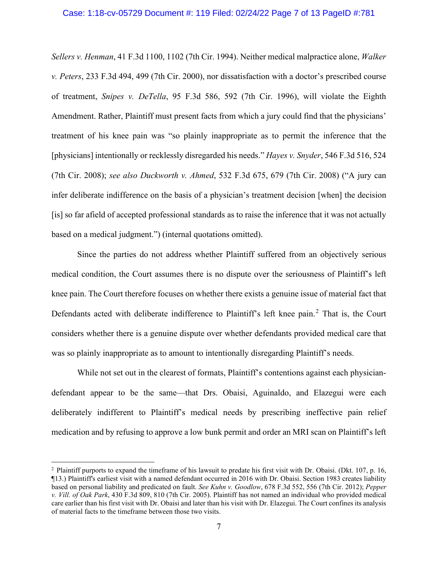#### Case: 1:18-cv-05729 Document #: 119 Filed: 02/24/22 Page 7 of 13 PageID #:781

*Sellers v. Henman*, 41 F.3d 1100, 1102 (7th Cir. 1994). Neither medical malpractice alone, *Walker v. Peters*, 233 F.3d 494, 499 (7th Cir. 2000), nor dissatisfaction with a doctor's prescribed course of treatment, *Snipes v. DeTella*, 95 F.3d 586, 592 (7th Cir. 1996), will violate the Eighth Amendment. Rather, Plaintiff must present facts from which a jury could find that the physicians' treatment of his knee pain was "so plainly inappropriate as to permit the inference that the [physicians] intentionally or recklessly disregarded his needs." *Hayes v. Snyder*, 546 F.3d 516, 524 (7th Cir. 2008); *see also Duckworth v. Ahmed*, 532 F.3d 675, 679 (7th Cir. 2008) ("A jury can infer deliberate indifference on the basis of a physician's treatment decision [when] the decision [is] so far afield of accepted professional standards as to raise the inference that it was not actually based on a medical judgment.") (internal quotations omitted).

Since the parties do not address whether Plaintiff suffered from an objectively serious medical condition, the Court assumes there is no dispute over the seriousness of Plaintiff's left knee pain. The Court therefore focuses on whether there exists a genuine issue of material fact that Defendants acted with deliberate indifference to Plaintiff's left knee pain.<sup>[2](#page-6-0)</sup> That is, the Court considers whether there is a genuine dispute over whether defendants provided medical care that was so plainly inappropriate as to amount to intentionally disregarding Plaintiff's needs.

While not set out in the clearest of formats, Plaintiff's contentions against each physiciandefendant appear to be the same—that Drs. Obaisi, Aguinaldo, and Elazegui were each deliberately indifferent to Plaintiff's medical needs by prescribing ineffective pain relief medication and by refusing to approve a low bunk permit and order an MRI scan on Plaintiff's left

<span id="page-6-0"></span><sup>&</sup>lt;sup>2</sup> Plaintiff purports to expand the timeframe of his lawsuit to predate his first visit with Dr. Obaisi. (Dkt. 107, p. 16, ¶13.) Plaintiff's earliest visit with a named defendant occurred in 2016 with Dr. Obaisi. Section 1983 creates liability based on personal liability and predicated on fault. *See Kuhn v. Goodlow*, 678 F.3d 552, 556 (7th Cir. 2012); *Pepper v. Vill. of Oak Park*, 430 F.3d 809, 810 (7th Cir. 2005). Plaintiff has not named an individual who provided medical care earlier than his first visit with Dr. Obaisi and later than his visit with Dr. Elazegui. The Court confines its analysis of material facts to the timeframe between those two visits.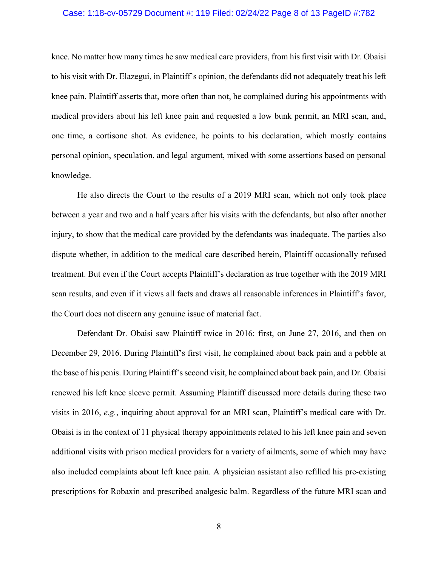#### Case: 1:18-cv-05729 Document #: 119 Filed: 02/24/22 Page 8 of 13 PageID #:782

knee. No matter how many times he saw medical care providers, from his first visit with Dr. Obaisi to his visit with Dr. Elazegui, in Plaintiff's opinion, the defendants did not adequately treat his left knee pain. Plaintiff asserts that, more often than not, he complained during his appointments with medical providers about his left knee pain and requested a low bunk permit, an MRI scan, and, one time, a cortisone shot. As evidence, he points to his declaration, which mostly contains personal opinion, speculation, and legal argument, mixed with some assertions based on personal knowledge.

He also directs the Court to the results of a 2019 MRI scan, which not only took place between a year and two and a half years after his visits with the defendants, but also after another injury, to show that the medical care provided by the defendants was inadequate. The parties also dispute whether, in addition to the medical care described herein, Plaintiff occasionally refused treatment. But even if the Court accepts Plaintiff's declaration as true together with the 2019 MRI scan results, and even if it views all facts and draws all reasonable inferences in Plaintiff's favor, the Court does not discern any genuine issue of material fact.

Defendant Dr. Obaisi saw Plaintiff twice in 2016: first, on June 27, 2016, and then on December 29, 2016. During Plaintiff's first visit, he complained about back pain and a pebble at the base of his penis. During Plaintiff's second visit, he complained about back pain, and Dr. Obaisi renewed his left knee sleeve permit. Assuming Plaintiff discussed more details during these two visits in 2016, *e.g.*, inquiring about approval for an MRI scan, Plaintiff's medical care with Dr. Obaisi is in the context of 11 physical therapy appointments related to his left knee pain and seven additional visits with prison medical providers for a variety of ailments, some of which may have also included complaints about left knee pain. A physician assistant also refilled his pre-existing prescriptions for Robaxin and prescribed analgesic balm. Regardless of the future MRI scan and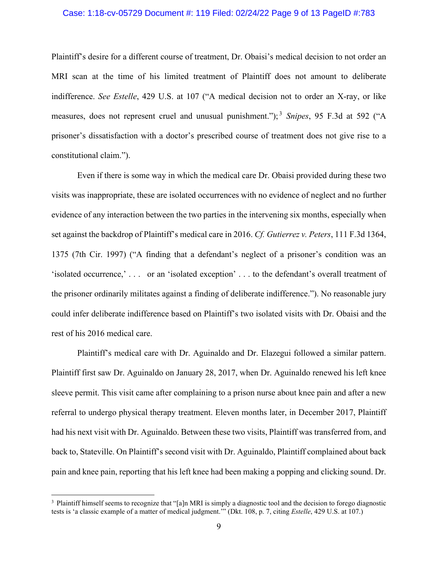### Case: 1:18-cv-05729 Document #: 119 Filed: 02/24/22 Page 9 of 13 PageID #:783

Plaintiff's desire for a different course of treatment, Dr. Obaisi's medical decision to not order an MRI scan at the time of his limited treatment of Plaintiff does not amount to deliberate indifference. *See Estelle*, 429 U.S. at 107 ("A medical decision not to order an X-ray, or like measures, does not represent cruel and unusual punishment."); [3](#page-8-0) *Snipes*, 95 F.3d at 592 ("A prisoner's dissatisfaction with a doctor's prescribed course of treatment does not give rise to a constitutional claim.").

Even if there is some way in which the medical care Dr. Obaisi provided during these two visits was inappropriate, these are isolated occurrences with no evidence of neglect and no further evidence of any interaction between the two parties in the intervening six months, especially when set against the backdrop of Plaintiff's medical care in 2016. *Cf. Gutierrez v. Peters*, 111 F.3d 1364, 1375 (7th Cir. 1997) ("A finding that a defendant's neglect of a prisoner's condition was an 'isolated occurrence,' . . . or an 'isolated exception' . . . to the defendant's overall treatment of the prisoner ordinarily militates against a finding of deliberate indifference."). No reasonable jury could infer deliberate indifference based on Plaintiff's two isolated visits with Dr. Obaisi and the rest of his 2016 medical care.

Plaintiff's medical care with Dr. Aguinaldo and Dr. Elazegui followed a similar pattern. Plaintiff first saw Dr. Aguinaldo on January 28, 2017, when Dr. Aguinaldo renewed his left knee sleeve permit. This visit came after complaining to a prison nurse about knee pain and after a new referral to undergo physical therapy treatment. Eleven months later, in December 2017, Plaintiff had his next visit with Dr. Aguinaldo. Between these two visits, Plaintiff was transferred from, and back to, Stateville. On Plaintiff's second visit with Dr. Aguinaldo, Plaintiff complained about back pain and knee pain, reporting that his left knee had been making a popping and clicking sound. Dr.

<span id="page-8-0"></span><sup>&</sup>lt;sup>3</sup> Plaintiff himself seems to recognize that "[a]n MRI is simply a diagnostic tool and the decision to forego diagnostic tests is 'a classic example of a matter of medical judgment.'" (Dkt. 108, p. 7, citing *Estelle*, 429 U.S. at 107.)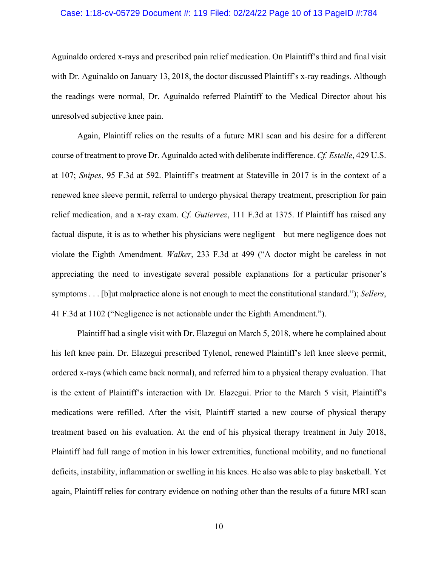#### Case: 1:18-cv-05729 Document #: 119 Filed: 02/24/22 Page 10 of 13 PageID #:784

Aguinaldo ordered x-rays and prescribed pain relief medication. On Plaintiff's third and final visit with Dr. Aguinaldo on January 13, 2018, the doctor discussed Plaintiff's x-ray readings. Although the readings were normal, Dr. Aguinaldo referred Plaintiff to the Medical Director about his unresolved subjective knee pain.

Again, Plaintiff relies on the results of a future MRI scan and his desire for a different course of treatment to prove Dr. Aguinaldo acted with deliberate indifference. *Cf. Estelle*, 429 U.S. at 107; *Snipes*, 95 F.3d at 592. Plaintiff's treatment at Stateville in 2017 is in the context of a renewed knee sleeve permit, referral to undergo physical therapy treatment, prescription for pain relief medication, and a x-ray exam. *Cf. Gutierrez*, 111 F.3d at 1375. If Plaintiff has raised any factual dispute, it is as to whether his physicians were negligent—but mere negligence does not violate the Eighth Amendment. *Walker*, 233 F.3d at 499 ("A doctor might be careless in not appreciating the need to investigate several possible explanations for a particular prisoner's symptoms . . . [b]ut malpractice alone is not enough to meet the constitutional standard."); *Sellers*, 41 F.3d at 1102 ("Negligence is not actionable under the Eighth Amendment.").

Plaintiff had a single visit with Dr. Elazegui on March 5, 2018, where he complained about his left knee pain. Dr. Elazegui prescribed Tylenol, renewed Plaintiff's left knee sleeve permit, ordered x-rays (which came back normal), and referred him to a physical therapy evaluation. That is the extent of Plaintiff's interaction with Dr. Elazegui. Prior to the March 5 visit, Plaintiff's medications were refilled. After the visit, Plaintiff started a new course of physical therapy treatment based on his evaluation. At the end of his physical therapy treatment in July 2018, Plaintiff had full range of motion in his lower extremities, functional mobility, and no functional deficits, instability, inflammation or swelling in his knees. He also was able to play basketball. Yet again, Plaintiff relies for contrary evidence on nothing other than the results of a future MRI scan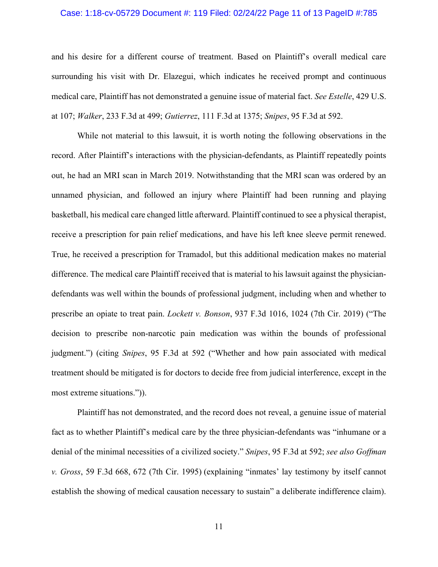#### Case: 1:18-cv-05729 Document #: 119 Filed: 02/24/22 Page 11 of 13 PageID #:785

and his desire for a different course of treatment. Based on Plaintiff's overall medical care surrounding his visit with Dr. Elazegui, which indicates he received prompt and continuous medical care, Plaintiff has not demonstrated a genuine issue of material fact. *See Estelle*, 429 U.S. at 107; *Walker*, 233 F.3d at 499; *Gutierrez*, 111 F.3d at 1375; *Snipes*, 95 F.3d at 592.

While not material to this lawsuit, it is worth noting the following observations in the record. After Plaintiff's interactions with the physician-defendants, as Plaintiff repeatedly points out, he had an MRI scan in March 2019. Notwithstanding that the MRI scan was ordered by an unnamed physician, and followed an injury where Plaintiff had been running and playing basketball, his medical care changed little afterward. Plaintiff continued to see a physical therapist, receive a prescription for pain relief medications, and have his left knee sleeve permit renewed. True, he received a prescription for Tramadol, but this additional medication makes no material difference. The medical care Plaintiff received that is material to his lawsuit against the physiciandefendants was well within the bounds of professional judgment, including when and whether to prescribe an opiate to treat pain. *Lockett v. Bonson*, 937 F.3d 1016, 1024 (7th Cir. 2019) ("The decision to prescribe non-narcotic pain medication was within the bounds of professional judgment.") (citing *Snipes*, 95 F.3d at 592 ("Whether and how pain associated with medical treatment should be mitigated is for doctors to decide free from judicial interference, except in the most extreme situations.")).

Plaintiff has not demonstrated, and the record does not reveal, a genuine issue of material fact as to whether Plaintiff's medical care by the three physician-defendants was "inhumane or a denial of the minimal necessities of a civilized society." *Snipes*, 95 F.3d at 592; *see also Goffman v. Gross*, 59 F.3d 668, 672 (7th Cir. 1995) (explaining "inmates' lay testimony by itself cannot establish the showing of medical causation necessary to sustain" a deliberate indifference claim).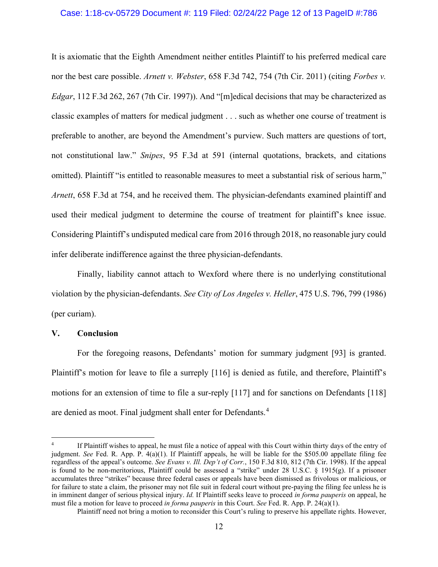## Case: 1:18-cv-05729 Document #: 119 Filed: 02/24/22 Page 12 of 13 PageID #:786

It is axiomatic that the Eighth Amendment neither entitles Plaintiff to his preferred medical care nor the best care possible. *Arnett v. Webster*, 658 F.3d 742, 754 (7th Cir. 2011) (citing *Forbes v. Edgar*, 112 F.3d 262, 267 (7th Cir. 1997)). And "[m]edical decisions that may be characterized as classic examples of matters for medical judgment . . . such as whether one course of treatment is preferable to another, are beyond the Amendment's purview. Such matters are questions of tort, not constitutional law." *Snipes*, 95 F.3d at 591 (internal quotations, brackets, and citations omitted). Plaintiff "is entitled to reasonable measures to meet a substantial risk of serious harm," *Arnett*, 658 F.3d at 754, and he received them. The physician-defendants examined plaintiff and used their medical judgment to determine the course of treatment for plaintiff's knee issue. Considering Plaintiff's undisputed medical care from 2016 through 2018, no reasonable jury could infer deliberate indifference against the three physician-defendants.

Finally, liability cannot attach to Wexford where there is no underlying constitutional violation by the physician-defendants. *See City of Los Angeles v. Heller*, 475 U.S. 796, 799 (1986) (per curiam).

#### **V. Conclusion**

For the foregoing reasons, Defendants' motion for summary judgment [93] is granted. Plaintiff's motion for leave to file a surreply [116] is denied as futile, and therefore, Plaintiff's motions for an extension of time to file a sur-reply [117] and for sanctions on Defendants [118] are denied as moot. Final judgment shall enter for Defendants.<sup>[4](#page-11-0)</sup>

<span id="page-11-0"></span><sup>&</sup>lt;sup>4</sup> If Plaintiff wishes to appeal, he must file a notice of appeal with this Court within thirty days of the entry of judgment. *See* Fed. R. App. P. 4(a)(1). If Plaintiff appeals, he will be liable for the \$505.00 appellate filing fee regardless of the appeal's outcome. *See Evans v. Ill. Dep't of Corr.*, 150 F.3d 810, 812 (7th Cir. 1998). If the appeal is found to be non-meritorious, Plaintiff could be assessed a "strike" under 28 U.S.C.  $\S$  1915(g). If a prisoner accumulates three "strikes" because three federal cases or appeals have been dismissed as frivolous or malicious, or for failure to state a claim, the prisoner may not file suit in federal court without pre-paying the filing fee unless he is in imminent danger of serious physical injury. *Id.* If Plaintiff seeks leave to proceed *in forma pauperis* on appeal, he must file a motion for leave to proceed *in forma pauperis* in this Court. *See* Fed. R. App. P. 24(a)(1).

Plaintiff need not bring a motion to reconsider this Court's ruling to preserve his appellate rights. However,